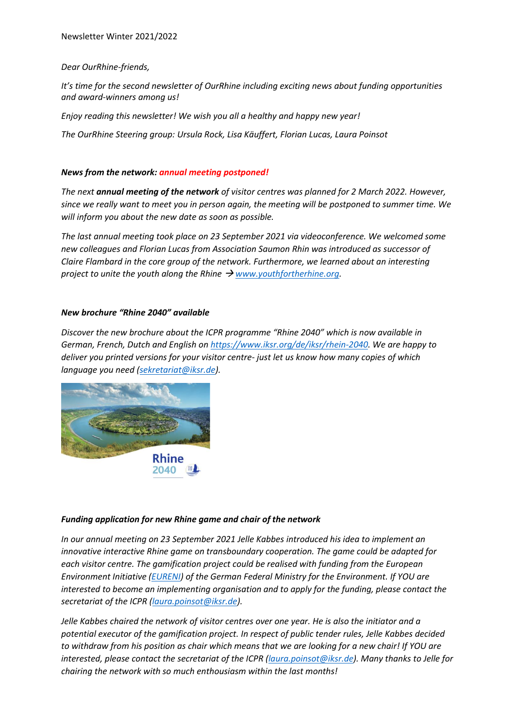# *Dear OurRhine-friends,*

*It's time for the second newsletter of OurRhine including exciting news about funding opportunities and award-winners among us!*

*Enjoy reading this newsletter! We wish you all a healthy and happy new year!*

*The OurRhine Steering group: Ursula Rock, Lisa Käuffert, Florian Lucas, Laura Poinsot*

# *News from the network: annual meeting postponed!*

*The next annual meeting of the network of visitor centres was planned for 2 March 2022. However, since we really want to meet you in person again, the meeting will be postponed to summer time. We will inform you about the new date as soon as possible.*

*The last annual meeting took place on 23 September 2021 via videoconference. We welcomed some new colleagues and Florian Lucas from Association Saumon Rhin was introduced as successor of Claire Flambard in the core group of the network. Furthermore, we learned about an interesting project to unite the youth along the Rhine → [www.youthfortherhine.org.](http://www.youthfortherhine.org/)* 

### *New brochure "Rhine 2040" available*

*Discover the new brochure about the ICPR programme "Rhine 2040" which is now available in German, French, Dutch and English on [https://www.iksr.org/de/iksr/rhein-2040.](https://www.iksr.org/de/iksr/rhein-2040) We are happy to deliver you printed versions for your visitor centre- just let us know how many copies of which language you need [\(sekretariat@iksr.de\)](mailto:sekretariat@iksr.de).*



### *Funding application for new Rhine game and chair of the network*

*In our annual meeting on 23 September 2021 Jelle Kabbes introduced his idea to implement an innovative interactive Rhine game on transboundary cooperation. The game could be adapted for each visitor centre. The gamification project could be realised with funding from the European Environment Initiative [\(EURENI\)](https://www.bmu.de/themen/europa-internationales/europa/europaeische-umweltschutzinitiative-eureni) of the German Federal Ministry for the Environment. If YOU are interested to become an implementing organisation and to apply for the funding, please contact the secretariat of the ICPR [\(laura.poinsot@iksr.de\)](mailto:laura.poinsot@iksr.de).*

*Jelle Kabbes chaired the network of visitor centres over one year. He is also the initiator and a potential executor of the gamification project. In respect of public tender rules, Jelle Kabbes decided to withdraw from his position as chair which means that we are looking for a new chair! If YOU are interested, please contact the secretariat of the ICPR [\(laura.poinsot@iksr.de\)](mailto:laura.poinsot@iksr.de). Many thanks to Jelle for chairing the network with so much enthousiasm within the last months!*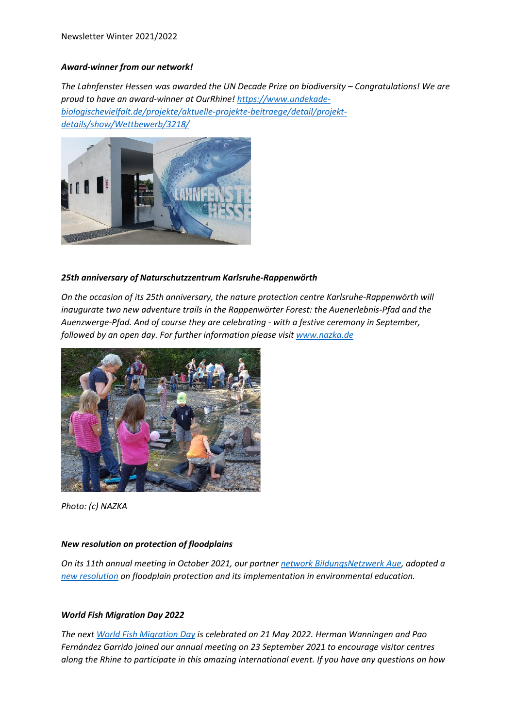# *Award-winner from our network!*

*The Lahnfenster Hessen was awarded the UN Decade Prize on biodiversity – Congratulations! We are proud to have an award-winner at OurRhine! [https://www.undekade](https://www.undekade-biologischevielfalt.de/projekte/aktuelle-projekte-beitraege/detail/projekt-details/show/Wettbewerb/3218/)[biologischevielfalt.de/projekte/aktuelle-projekte-beitraege/detail/projekt](https://www.undekade-biologischevielfalt.de/projekte/aktuelle-projekte-beitraege/detail/projekt-details/show/Wettbewerb/3218/)[details/show/Wettbewerb/3218/](https://www.undekade-biologischevielfalt.de/projekte/aktuelle-projekte-beitraege/detail/projekt-details/show/Wettbewerb/3218/)*



# *25th anniversary of Naturschutzzentrum Karlsruhe-Rappenwörth*

*On the occasion of its 25th anniversary, the nature protection centre Karlsruhe-Rappenwörth will inaugurate two new adventure trails in the Rappenwörter Forest: the Auenerlebnis-Pfad and the Auenzwerge-Pfad. And of course they are celebrating - with a festive ceremony in September, followed by an open day. For further information please visit [www.nazka.de](http://www.nazka.de/)*



*Photo: (c) NAZKA*

### *New resolution on protection of floodplains*

*On its 11th annual meeting in October 2021, our partne[r network BildungsNetzwerk Aue,](https://www.rvr.ruhr/index.php?id=348) adopted a [new resolution](https://www.rvr.ruhr/fileadmin/user_upload/01_RVR_Home/02_Themen/Umwelt_Oekologie/Naturforum_Bislicher_Insel/Netzwerke/2021-10-22_Resolution_Auenschutz.pdf) on floodplain protection and its implementation in environmental education.* 

### *World Fish Migration Day 2022*

*The nex[t World Fish Migration Day](https://www.worldfishmigrationday.com/) is celebrated on 21 May 2022. Herman Wanningen and Pao Fernández Garrido joined our annual meeting on 23 September 2021 to encourage visitor centres along the Rhine to participate in this amazing international event. If you have any questions on how*